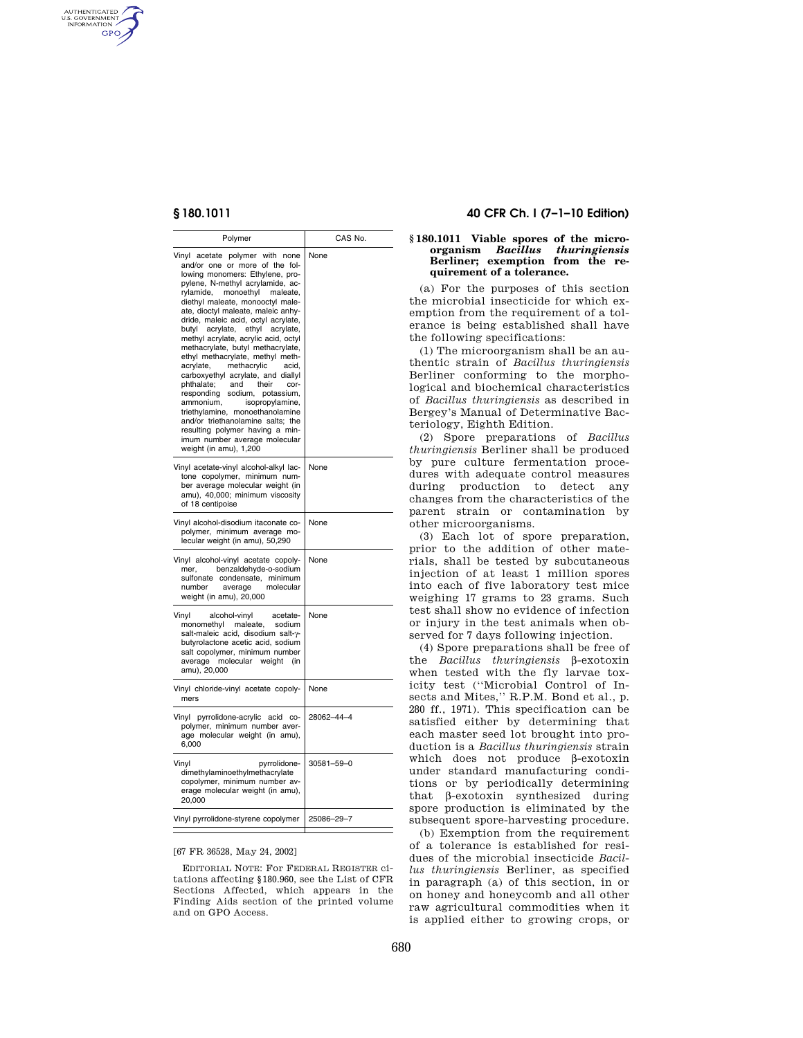AUTHENTICATED<br>U.S. GOVERNMENT<br>INFORMATION **GPO** 

| Polymer                                                                                                                                                                                                                                                                                                                                                                                                                                                                                                                                                                                                                                                                                                                                                                                                                 | CAS No.    |
|-------------------------------------------------------------------------------------------------------------------------------------------------------------------------------------------------------------------------------------------------------------------------------------------------------------------------------------------------------------------------------------------------------------------------------------------------------------------------------------------------------------------------------------------------------------------------------------------------------------------------------------------------------------------------------------------------------------------------------------------------------------------------------------------------------------------------|------------|
| Vinyl<br>acetate polymer with<br>none<br>and/or one or more of the fol-<br>lowing monomers: Ethylene, pro-<br>pylene, N-methyl acrylamide, ac-<br>rylamide,<br>monoethyl<br>maleate,<br>diethyl maleate, monooctyl male-<br>ate, dioctyl maleate, maleic anhy-<br>dride, maleic acid, octyl acrylate,<br>acrylate, ethyl acrylate,<br>butyl<br>methyl acrylate, acrylic acid, octyl<br>methacrylate, butyl methacrylate,<br>ethyl methacrylate, methyl meth-<br>methacrylic<br>acrylate,<br>acid,<br>carboxyethyl acrylate, and diallyl<br>phthalate;<br>and<br>their<br>cor-<br>responding sodium,<br>potassium,<br>ammonium,<br>isopropylamine,<br>triethylamine, monoethanolamine<br>and/or triethanolamine salts; the<br>resulting polymer having a min-<br>imum number average molecular<br>weight (in amu), 1,200 | None       |
| Vinyl acetate-vinyl alcohol-alkyl lac-<br>tone copolymer, minimum num-<br>ber average molecular weight (in<br>amu), 40,000; minimum viscosity<br>of 18 centipoise                                                                                                                                                                                                                                                                                                                                                                                                                                                                                                                                                                                                                                                       | None       |
| Vinyl alcohol-disodium itaconate co-<br>polymer, minimum average mo-<br>lecular weight (in amu), 50,290                                                                                                                                                                                                                                                                                                                                                                                                                                                                                                                                                                                                                                                                                                                 | None       |
| Vinyl alcohol-vinyl acetate copoly-<br>benzaldehyde-o-sodium<br>mer,<br>sulfonate condensate,<br>minimum<br>number<br>average<br>molecular<br>weight (in amu), 20,000                                                                                                                                                                                                                                                                                                                                                                                                                                                                                                                                                                                                                                                   | None       |
| Vinyl<br>alcohol-vinyl<br>acetate-<br>monomethyl<br>maleate,<br>sodium<br>salt-maleic acid, disodium salt-y-<br>butyrolactone acetic acid, sodium<br>salt copolymer, minimum number<br>molecular weight<br>average<br>(in<br>amu), 20,000                                                                                                                                                                                                                                                                                                                                                                                                                                                                                                                                                                               | None       |
| Vinyl chloride-vinyl acetate copoly-<br>mers                                                                                                                                                                                                                                                                                                                                                                                                                                                                                                                                                                                                                                                                                                                                                                            | None       |
| Vinyl<br>pyrrolidone-acrylic<br>acid co-<br>polymer, minimum number aver-<br>age molecular weight (in amu),<br>6,000                                                                                                                                                                                                                                                                                                                                                                                                                                                                                                                                                                                                                                                                                                    | 28062-44-4 |
| Vinyl<br>pyrrolidone-<br>dimethylaminoethylmethacrylate<br>copolymer, minimum number av-<br>erage molecular weight (in amu),<br>20,000                                                                                                                                                                                                                                                                                                                                                                                                                                                                                                                                                                                                                                                                                  | 30581-59-0 |
| Vinyl pyrrolidone-styrene copolymer                                                                                                                                                                                                                                                                                                                                                                                                                                                                                                                                                                                                                                                                                                                                                                                     | 25086-29-7 |

## [67 FR 36528, May 24, 2002]

EDITORIAL NOTE: For FEDERAL REGISTER citations affecting §180.960, see the List of CFR Sections Affected, which appears in the Finding Aids section of the printed volume and on GPO Access.

# **§ 180.1011 40 CFR Ch. I (7–1–10 Edition)**

## **§ 180.1011 Viable spores of the microorganism** *Bacillus thuringiensis*  **Berliner; exemption from the requirement of a tolerance.**

(a) For the purposes of this section the microbial insecticide for which exemption from the requirement of a tolerance is being established shall have the following specifications:

(1) The microorganism shall be an authentic strain of *Bacillus thuringiensis*  Berliner conforming to the morphological and biochemical characteristics of *Bacillus thuringiensis* as described in Bergey's Manual of Determinative Bacteriology, Eighth Edition.

(2) Spore preparations of *Bacillus thuringiensis* Berliner shall be produced by pure culture fermentation procedures with adequate control measures during production to detect any changes from the characteristics of the parent strain or contamination by other microorganisms.

(3) Each lot of spore preparation, prior to the addition of other materials, shall be tested by subcutaneous injection of at least 1 million spores into each of five laboratory test mice weighing 17 grams to 23 grams. Such test shall show no evidence of infection or injury in the test animals when observed for 7 days following injection.

(4) Spore preparations shall be free of the *Bacillus thuringiensis* b-exotoxin when tested with the fly larvae toxicity test (''Microbial Control of Insects and Mites," R.P.M. Bond et al., p. 280 ff., 1971). This specification can be satisfied either by determining that each master seed lot brought into production is a *Bacillus thuringiensis* strain which does not produce  $\beta$ -exotoxin under standard manufacturing conditions or by periodically determining that b-exotoxin synthesized during spore production is eliminated by the subsequent spore-harvesting procedure.

(b) Exemption from the requirement of a tolerance is established for residues of the microbial insecticide *Bacillus thuringiensis* Berliner, as specified in paragraph (a) of this section, in or on honey and honeycomb and all other raw agricultural commodities when it is applied either to growing crops, or